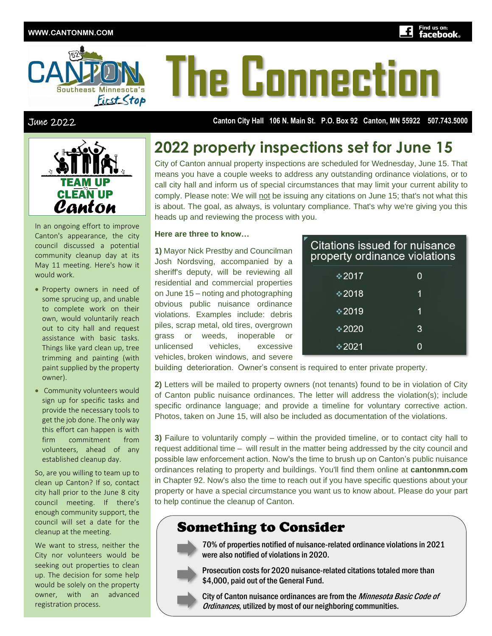

# **he Connecti**

June 2022 **Canton City Hall 106 N. Main St. P.O. Box 92 Canton, MN 55922 507.743.5000**



In an ongoing effort to improve Canton's appearance, the city council discussed a potential community cleanup day at its May 11 meeting. Here's how it would work.

- Property owners in need of some sprucing up, and unable to complete work on their own, would voluntarily reach out to city hall and request assistance with basic tasks. Things like yard clean up, tree trimming and painting (with paint supplied by the property owner).
- Community volunteers would sign up for specific tasks and provide the necessary tools to get the job done. The only way this effort can happen is with firm commitment from volunteers, ahead of any established cleanup day.

So, are you willing to team up to clean up Canton? If so, contact city hall prior to the June 8 city council meeting. If there's enough community support, the council will set a date for the cleanup at the meeting.

We want to stress, neither the City nor volunteers would be seeking out properties to clean up. The decision for some help would be solely on the property owner, with an advanced registration process.

### **2022 property inspections set for June 15**

City of Canton annual property inspections are scheduled for Wednesday, June 15. That means you have a couple weeks to address any outstanding ordinance violations, or to call city hall and inform us of special circumstances that may limit your current ability to comply. Please note: We will not be issuing any citations on June 15; that's not what this is about. The goal, as always, is voluntary compliance. That's why we're giving you this heads up and reviewing the process with you.

#### **Here are three to know…**

**1)** Mayor Nick Prestby and Councilman Josh Nordsving, accompanied by a sheriff's deputy, will be reviewing all residential and commercial properties on June 15 – noting and photographing obvious public nuisance ordinance violations. Examples include: debris piles, scrap metal, old tires, overgrown grass or weeds, inoperable or unlicensed vehicles, excessive vehicles, broken windows, and severe

| Citations issued for nuisance<br>property ordinance violations |   |
|----------------------------------------------------------------|---|
| $*2017$                                                        | O |
| $*2018$                                                        | 1 |
| $*2019$                                                        | 1 |
| $*2020$                                                        | 3 |
| $*2021$                                                        |   |

building deterioration. Owner's consent is required to enter private property.

**2)** Letters will be mailed to property owners (not tenants) found to be in violation of City of Canton public nuisance ordinances. The letter will address the violation(s); include specific ordinance language; and provide a timeline for voluntary corrective action. Photos, taken on June 15, will also be included as documentation of the violations.

**3)** Failure to voluntarily comply – within the provided timeline, or to contact city hall to request additional time – will result in the matter being addressed by the city council and possible law enforcement action. Now's the time to brush up on Canton's public nuisance ordinances relating to property and buildings. You'll find them online at **cantonmn.com** in Chapter 92. Now's also the time to reach out if you have specific questions about your property or have a special circumstance you want us to know about. Please do your part to help continue the cleanup of Canton.

#### Something to Consider



70% of properties notified of nuisance-related ordinance violations in 2021 were also notified of violations in 2020.



Prosecution costs for 2020 nuisance-related citations totaled more than \$4,000, paid out of the General Fund.

City of Canton nuisance ordinances are from the Minnesota Basic Code of Ordinances, utilized by most of our neighboring communities.